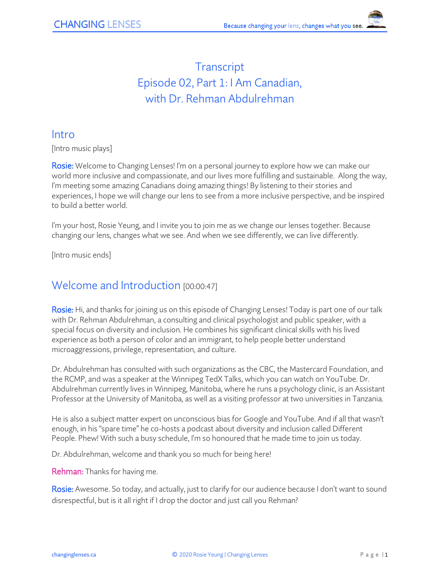# **Transcript** Episode 02, Part 1: I Am Canadian, with Dr. Rehman Abdulrehman

#### Intro

[Intro music plays]

Rosie: Welcome to Changing Lenses! I'm on a personal journey to explore how we can make our world more inclusive and compassionate, and our lives more fulfilling and sustainable. Along the way, I'm meeting some amazing Canadians doing amazing things! By listening to their stories and experiences, I hope we will change our lens to see from a more inclusive perspective, and be inspired to build a better world.

I'm your host, Rosie Yeung, and I invite you to join me as we change our lenses together. Because changing our lens, changes what we see. And when we see differently, we can live differently.

[Intro music ends]

### Welcome and Introduction [00:00:47]

Rosie: Hi, and thanks for joining us on this episode of Changing Lenses! Today is part one of our talk with Dr. Rehman Abdulrehman, a consulting and clinical psychologist and public speaker, with a special focus on diversity and inclusion. He combines his significant clinical skills with his lived experience as both a person of color and an immigrant, to help people better understand microaggressions, privilege, representation, and culture.

Dr. Abdulrehman has consulted with such organizations as the CBC, the Mastercard Foundation, and the RCMP, and was a speaker at the Winnipeg TedX Talks, which you can watch on YouTube. Dr. Abdulrehman currently lives in Winnipeg, Manitoba, where he runs a psychology clinic, is an Assistant Professor at the University of Manitoba, as well as a visiting professor at two universities in Tanzania.

He is also a subject matter expert on unconscious bias for Google and YouTube. And if all that wasn't enough, in his "spare time" he co-hosts a podcast about diversity and inclusion called Different People. Phew! With such a busy schedule, I'm so honoured that he made time to join us today.

Dr. Abdulrehman, welcome and thank you so much for being here!

Rehman: Thanks for having me.

Rosie: Awesome. So today, and actually, just to clarify for our audience because I don't want to sound disrespectful, but is it all right if I drop the doctor and just call you Rehman?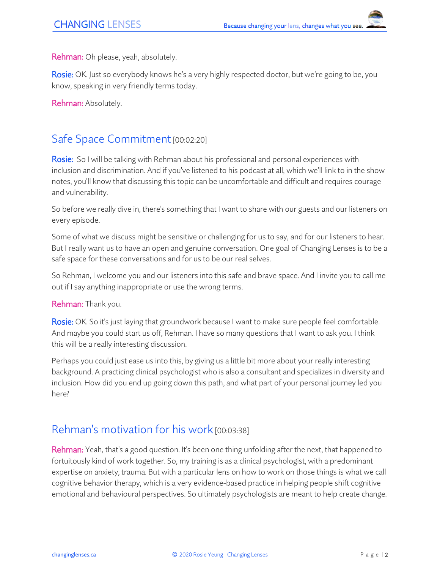Rehman: Oh please, yeah, absolutely.

Rosie: OK. Just so everybody knows he's a very highly respected doctor, but we're going to be, you know, speaking in very friendly terms today.

Rehman: Absolutely.

### Safe Space Commitment [00:02:20]

Rosie: So I will be talking with Rehman about his professional and personal experiences with inclusion and discrimination. And if you've listened to his podcast at all, which we'll link to in the show notes, you'll know that discussing this topic can be uncomfortable and difficult and requires courage and vulnerability.

So before we really dive in, there's something that I want to share with our guests and our listeners on every episode.

Some of what we discuss might be sensitive or challenging for us to say, and for our listeners to hear. But I really want us to have an open and genuine conversation. One goal of Changing Lenses is to be a safe space for these conversations and for us to be our real selves.

So Rehman, I welcome you and our listeners into this safe and brave space. And I invite you to call me out if I say anything inappropriate or use the wrong terms.

Rehman: Thank you.

Rosie: OK. So it's just laying that groundwork because I want to make sure people feel comfortable. And maybe you could start us off, Rehman. I have so many questions that I want to ask you. I think this will be a really interesting discussion.

Perhaps you could just ease us into this, by giving us a little bit more about your really interesting background. A practicing clinical psychologist who is also a consultant and specializes in diversity and inclusion. How did you end up going down this path, and what part of your personal journey led you here?

### Rehman's motivation for his work [00:03:38]

Rehman: Yeah, that's a good question. It's been one thing unfolding after the next, that happened to fortuitously kind of work together. So, my training is as a clinical psychologist, with a predominant expertise on anxiety, trauma. But with a particular lens on how to work on those things is what we call cognitive behavior therapy, which is a very evidence-based practice in helping people shift cognitive emotional and behavioural perspectives. So ultimately psychologists are meant to help create change.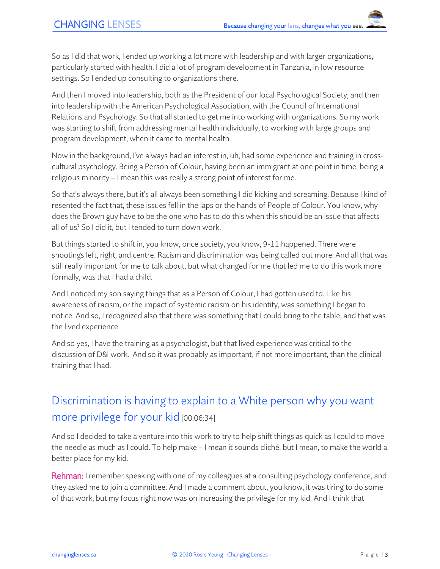So as I did that work, I ended up working a lot more with leadership and with larger organizations, particularly started with health. I did a lot of program development in Tanzania, in low resource settings. So I ended up consulting to organizations there.

And then I moved into leadership, both as the President of our local Psychological Society, and then into leadership with the American Psychological Association, with the Council of International Relations and Psychology. So that all started to get me into working with organizations. So my work was starting to shift from addressing mental health individually, to working with large groups and program development, when it came to mental health.

Now in the background, I've always had an interest in, uh, had some experience and training in crosscultural psychology. Being a Person of Colour, having been an immigrant at one point in time, being a religious minority – I mean this was really a strong point of interest for me.

So that's always there, but it's all always been something I did kicking and screaming. Because I kind of resented the fact that, these issues fell in the laps or the hands of People of Colour. You know, why does the Brown guy have to be the one who has to do this when this should be an issue that affects all of us? So I did it, but I tended to turn down work.

But things started to shift in, you know, once society, you know, 9-11 happened. There were shootings left, right, and centre. Racism and discrimination was being called out more. And all that was still really important for me to talk about, but what changed for me that led me to do this work more formally, was that I had a child.

And I noticed my son saying things that as a Person of Colour, I had gotten used to. Like his awareness of racism, or the impact of systemic racism on his identity, was something I began to notice. And so, I recognized also that there was something that I could bring to the table, and that was the lived experience.

And so yes, I have the training as a psychologist, but that lived experience was critical to the discussion of D&I work. And so it was probably as important, if not more important, than the clinical training that I had.

# Discrimination is having to explain to a White person why you want more privilege for your kid [00:06:34]

And so I decided to take a venture into this work to try to help shift things as quick as I could to move the needle as much as I could. To help make – I mean it sounds cliché, but I mean, to make the world a better place for my kid.

Rehman: I remember speaking with one of my colleagues at a consulting psychology conference, and they asked me to join a committee. And I made a comment about, you know, it was tiring to do some of that work, but my focus right now was on increasing the privilege for my kid. And I think that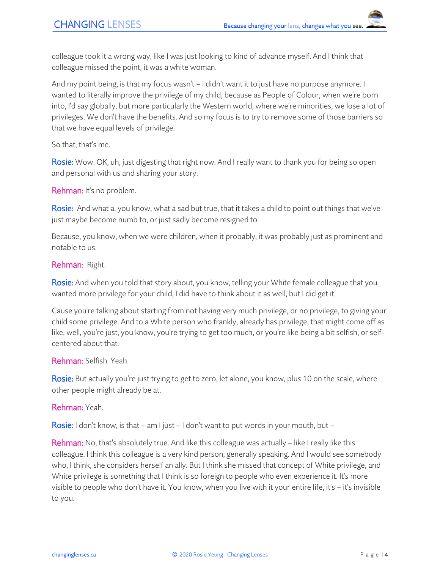colleague took it a wrong way, like I was just looking to kind of advance myself. And I think that colleague missed the point; it was a white woman.

And my point being, is that my focus wasn't – I didn't want it to just have no purpose anymore. I wanted to literally improve the privilege of my child, because as People of Colour, when we're born into, I'd say globally, but more particularly the Western world, where we're minorities, we lose a lot of privileges. We don't have the benefits. And so my focus is to try to remove some of those barriers so that we have equal levels of privilege.

So that, that's me.

Rosie: Wow. OK, uh, just digesting that right now. And I really want to thank you for being so open and personal with us and sharing your story.

Rehman: It's no problem.

Rosie: And what a, you know, what a sad but true, that it takes a child to point out things that we've just maybe become numb to, or just sadly become resigned to.

Because, you know, when we were children, when it probably, it was probably just as prominent and notable to us.

#### Rehman: Right.

Rosie: And when you told that story about, you know, telling your White female colleague that you wanted more privilege for your child, I did have to think about it as well, but I did get it.

Cause you're talking about starting from not having very much privilege, or no privilege, to giving your child some privilege. And to a White person who frankly, already has privilege, that might come off as like, well, you're just, you know, you're trying to get too much, or you're like being a bit selfish, or selfcentered about that.

#### Rehman: Selfish. Yeah.

Rosie: But actually you're just trying to get to zero, let alone, you know, plus 10 on the scale, where other people might already be at.

Rehman: Yeah.

Rosie: I don't know, is that – am I just – I don't want to put words in your mouth, but –

Rehman: No, that's absolutely true. And like this colleague was actually – like I really like this colleague. I think this colleague is a very kind person, generally speaking. And I would see somebody who, I think, she considers herself an ally. But I think she missed that concept of White privilege, and White privilege is something that I think is so foreign to people who even experience it. It's more visible to people who don't have it. You know, when you live with it your entire life, it's – it's invisible to you.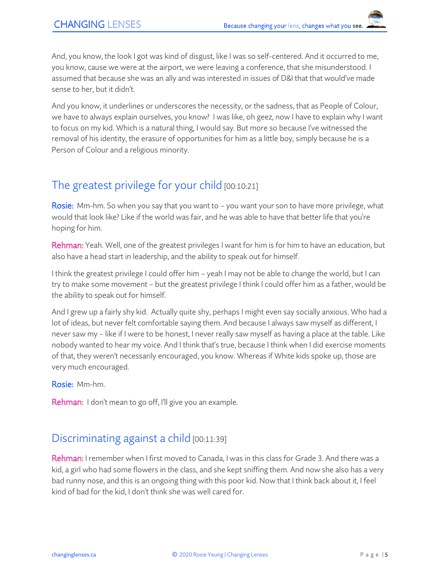And, you know, the look I got was kind of disgust, like I was so self-centered. And it occurred to me, you know, cause we were at the airport, we were leaving a conference, that she misunderstood. I assumed that because she was an ally and was interested in issues of D&I that that would've made sense to her, but it didn't.

And you know, it underlines or underscores the necessity, or the sadness, that as People of Colour, we have to always explain ourselves, you know? I was like, oh geez, now I have to explain why I want to focus on my kid. Which is a natural thing, I would say. But more so because I've witnessed the removal of his identity, the erasure of opportunities for him as a little boy, simply because he is a Person of Colour and a religious minority.

## The greatest privilege for your child [00:10:21]

Rosie: Mm-hm. So when you say that you want to – you want your son to have more privilege, what would that look like? Like if the world was fair, and he was able to have that better life that you're hoping for him.

Rehman: Yeah. Well, one of the greatest privileges I want for him is for him to have an education, but also have a head start in leadership, and the ability to speak out for himself.

I think the greatest privilege I could offer him – yeah I may not be able to change the world, but I can try to make some movement – but the greatest privilege I think I could offer him as a father, would be the ability to speak out for himself.

And I grew up a fairly shy kid. Actually quite shy, perhaps I might even say socially anxious. Who had a lot of ideas, but never felt comfortable saying them. And because I always saw myself as different, I never saw my – like if I were to be honest, I never really saw myself as having a place at the table. Like nobody wanted to hear my voice. And I think that's true, because I think when I did exercise moments of that, they weren't necessarily encouraged, you know. Whereas if White kids spoke up, those are very much encouraged.

Rosie: Mm-hm.

Rehman: I don't mean to go off, I'll give you an example.

### Discriminating against a child [00:11:39]

Rehman: I remember when I first moved to Canada, I was in this class for Grade 3. And there was a kid, a girl who had some flowers in the class, and she kept sniffing them. And now she also has a very bad runny nose, and this is an ongoing thing with this poor kid. Now that I think back about it, I feel kind of bad for the kid, I don't think she was well cared for.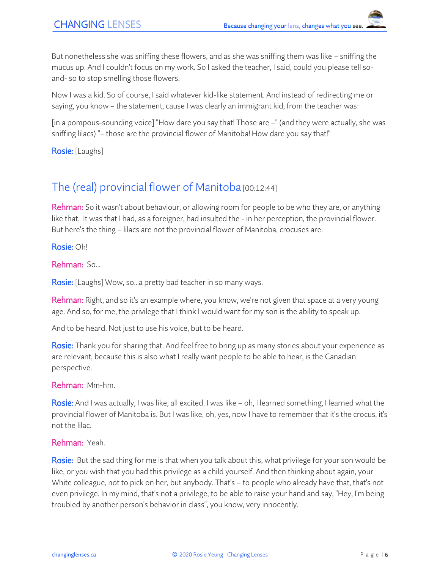But nonetheless she was sniffing these flowers, and as she was sniffing them was like – sniffing the mucus up. And I couldn't focus on my work. So I asked the teacher, I said, could you please tell soand- so to stop smelling those flowers.

Now I was a kid. So of course, I said whatever kid-like statement. And instead of redirecting me or saying, you know – the statement, cause I was clearly an immigrant kid, from the teacher was:

[in a pompous-sounding voice] "How dare you say that! Those are –" (and they were actually, she was sniffing lilacs) "– those are the provincial flower of Manitoba! How dare you say that!"

Rosie: [Laughs]

# The (real) provincial flower of Manitoba [00:12:44]

Rehman: So it wasn't about behaviour, or allowing room for people to be who they are, or anything like that. It was that I had, as a foreigner, had insulted the - in her perception, the provincial flower. But here's the thing – lilacs are not the provincial flower of Manitoba, crocuses are.

Rosie: Oh!

Rehman: So...

**Rosie:** [Laughs] Wow, so...a pretty bad teacher in so many ways.

Rehman: Right, and so it's an example where, you know, we're not given that space at a very young age. And so, for me, the privilege that I think I would want for my son is the ability to speak up.

And to be heard. Not just to use his voice, but to be heard.

Rosie: Thank you for sharing that. And feel free to bring up as many stories about your experience as are relevant, because this is also what I really want people to be able to hear, is the Canadian perspective.

Rehman: Mm-hm.

Rosie: And I was actually, I was like, all excited. I was like – oh, I learned something, I learned what the provincial flower of Manitoba is. But I was like, oh, yes, now I have to remember that it's the crocus, it's not the lilac.

#### Rehman: Yeah.

Rosie: But the sad thing for me is that when you talk about this, what privilege for your son would be like, or you wish that you had this privilege as a child yourself. And then thinking about again, your White colleague, not to pick on her, but anybody. That's – to people who already have that, that's not even privilege. In my mind, that's not a privilege, to be able to raise your hand and say, "Hey, I'm being troubled by another person's behavior in class", you know, very innocently.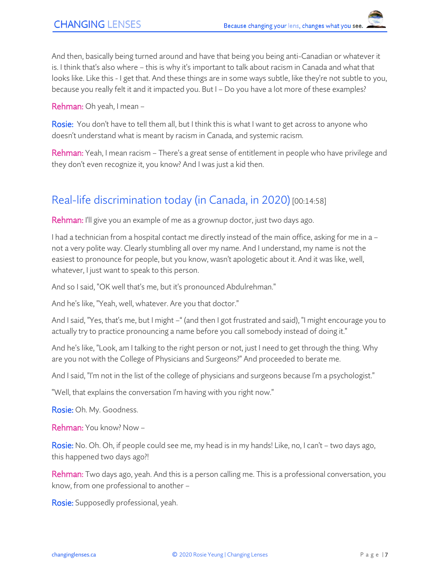And then, basically being turned around and have that being you being anti-Canadian or whatever it is. I think that's also where – this is why it's important to talk about racism in Canada and what that looks like. Like this - I get that. And these things are in some ways subtle, like they're not subtle to you, because you really felt it and it impacted you. But I – Do you have a lot more of these examples?

Rehman: Oh yeah, I mean –

**Rosie:** You don't have to tell them all, but I think this is what I want to get across to anyone who doesn't understand what is meant by racism in Canada, and systemic racism.

Rehman: Yeah, I mean racism – There's a great sense of entitlement in people who have privilege and they don't even recognize it, you know? And I was just a kid then.

# Real-life discrimination today (in Canada, in 2020) [00:14:58]

Rehman: I'll give you an example of me as a grownup doctor, just two days ago.

I had a technician from a hospital contact me directly instead of the main office, asking for me in a – not a very polite way. Clearly stumbling all over my name. And I understand, my name is not the easiest to pronounce for people, but you know, wasn't apologetic about it. And it was like, well, whatever, I just want to speak to this person.

And so I said, "OK well that's me, but it's pronounced Abdulrehman."

And he's like, "Yeah, well, whatever. Are you that doctor."

And I said, "Yes, that's me, but I might -" (and then I got frustrated and said), "I might encourage you to actually try to practice pronouncing a name before you call somebody instead of doing it."

And he's like, "Look, am I talking to the right person or not, just I need to get through the thing. Why are you not with the College of Physicians and Surgeons?" And proceeded to berate me.

And I said, "I'm not in the list of the college of physicians and surgeons because I'm a psychologist."

"Well, that explains the conversation I'm having with you right now."

Rosie: Oh. My. Goodness.

Rehman: You know? Now –

Rosie: No. Oh. Oh, if people could see me, my head is in my hands! Like, no, I can't - two days ago, this happened two days ago?!

Rehman: Two days ago, yeah. And this is a person calling me. This is a professional conversation, you know, from one professional to another –

Rosie: Supposedly professional, yeah.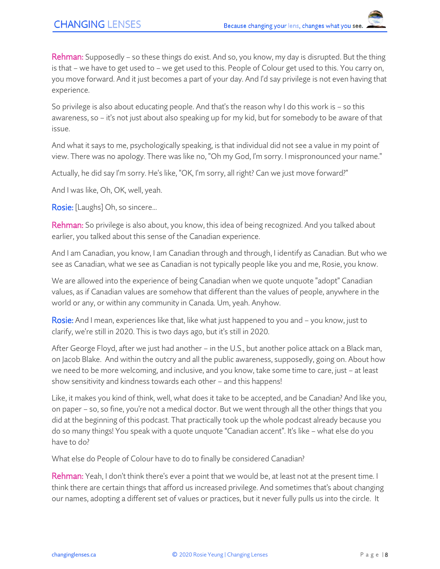Rehman: Supposedly – so these things do exist. And so, you know, my day is disrupted. But the thing is that – we have to get used to – we get used to this. People of Colour get used to this. You carry on, you move forward. And it just becomes a part of your day. And I'd say privilege is not even having that experience.

So privilege is also about educating people. And that's the reason why I do this work is – so this awareness, so – it's not just about also speaking up for my kid, but for somebody to be aware of that issue.

And what it says to me, psychologically speaking, is that individual did not see a value in my point of view. There was no apology. There was like no, "Oh my God, I'm sorry. I mispronounced your name."

Actually, he did say I'm sorry. He's like, "OK, I'm sorry, all right? Can we just move forward?"

And I was like, Oh, OK, well, yeah.

Rosie: [Laughs] Oh, so sincere...

Rehman: So privilege is also about, you know, this idea of being recognized. And you talked about earlier, you talked about this sense of the Canadian experience.

And I am Canadian, you know, I am Canadian through and through, I identify as Canadian. But who we see as Canadian, what we see as Canadian is not typically people like you and me, Rosie, you know.

We are allowed into the experience of being Canadian when we quote unquote "adopt" Canadian values, as if Canadian values are somehow that different than the values of people, anywhere in the world or any, or within any community in Canada. Um, yeah. Anyhow.

Rosie: And I mean, experiences like that, like what just happened to you and – you know, just to clarify, we're still in 2020. This is two days ago, but it's still in 2020.

After George Floyd, after we just had another – in the U.S., but another police attack on a Black man, on Jacob Blake. And within the outcry and all the public awareness, supposedly, going on. About how we need to be more welcoming, and inclusive, and you know, take some time to care, just – at least show sensitivity and kindness towards each other – and this happens!

Like, it makes you kind of think, well, what does it take to be accepted, and be Canadian? And like you, on paper – so, so fine, you're not a medical doctor. But we went through all the other things that you did at the beginning of this podcast. That practically took up the whole podcast already because you do so many things! You speak with a quote unquote "Canadian accent". It's like – what else do you have to do?

What else do People of Colour have to do to finally be considered Canadian?

Rehman: Yeah, I don't think there's ever a point that we would be, at least not at the present time. I think there are certain things that afford us increased privilege. And sometimes that's about changing our names, adopting a different set of values or practices, but it never fully pulls us into the circle. It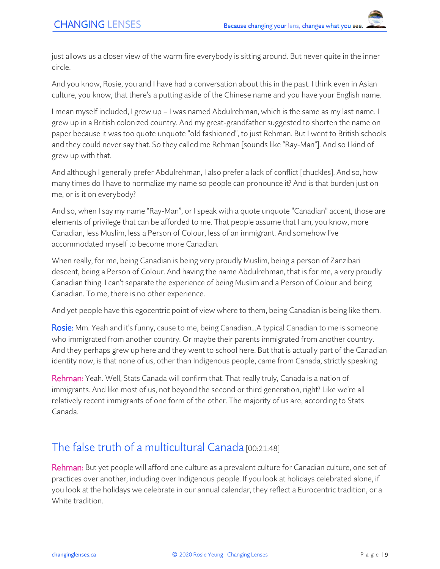just allows us a closer view of the warm fire everybody is sitting around. But never quite in the inner circle.

And you know, Rosie, you and I have had a conversation about this in the past. I think even in Asian culture, you know, that there's a putting aside of the Chinese name and you have your English name.

I mean myself included, I grew up – I was named Abdulrehman, which is the same as my last name. I grew up in a British colonized country. And my great-grandfather suggested to shorten the name on paper because it was too quote unquote "old fashioned", to just Rehman. But I went to British schools and they could never say that. So they called me Rehman [sounds like "Ray-Man"]. And so I kind of grew up with that.

And although I generally prefer Abdulrehman, I also prefer a lack of conflict [chuckles]. And so, how many times do I have to normalize my name so people can pronounce it? And is that burden just on me, or is it on everybody?

And so, when I say my name "Ray-Man", or I speak with a quote unquote "Canadian" accent, those are elements of privilege that can be afforded to me. That people assume that I am, you know, more Canadian, less Muslim, less a Person of Colour, less of an immigrant. And somehow I've accommodated myself to become more Canadian.

When really, for me, being Canadian is being very proudly Muslim, being a person of Zanzibari descent, being a Person of Colour. And having the name Abdulrehman, that is for me, a very proudly Canadian thing. I can't separate the experience of being Muslim and a Person of Colour and being Canadian. To me, there is no other experience.

And yet people have this egocentric point of view where to them, being Canadian is being like them.

Rosie: Mm. Yeah and it's funny, cause to me, being Canadian...A typical Canadian to me is someone who immigrated from another country. Or maybe their parents immigrated from another country. And they perhaps grew up here and they went to school here. But that is actually part of the Canadian identity now, is that none of us, other than Indigenous people, came from Canada, strictly speaking.

Rehman: Yeah. Well, Stats Canada will confirm that. That really truly, Canada is a nation of immigrants. And like most of us, not beyond the second or third generation, right? Like we're all relatively recent immigrants of one form of the other. The majority of us are, according to Stats Canada.

# The false truth of a multicultural Canada [00:21:48]

Rehman: But yet people will afford one culture as a prevalent culture for Canadian culture, one set of practices over another, including over Indigenous people. If you look at holidays celebrated alone, if you look at the holidays we celebrate in our annual calendar, they reflect a Eurocentric tradition, or a White tradition.